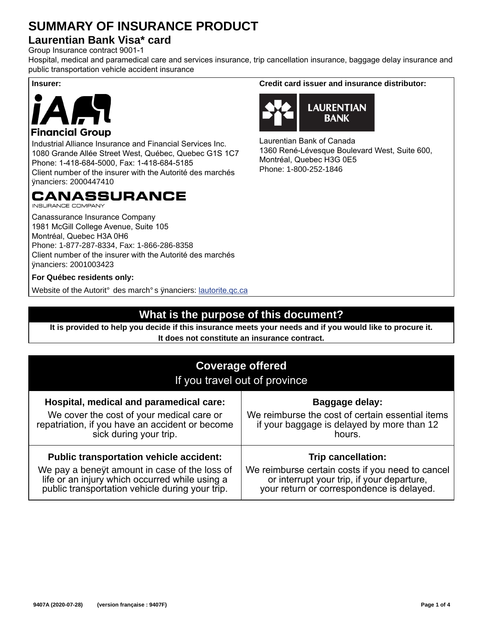## **SUMMARY OF INSURANCE PRODUCT**

### **Laurentian Bank Visa\* card**

Group Insurance contract 9001-1

Hospital, medical and paramedical care and services insurance, trip cancellation insurance, baggage delay insurance and public transportation vehicle accident insurance



### Industrial Alliance Insurance and Financial Services Inc. 1080 Grande Allée Street West, Québec, Quebec G1S 1C7 Phone: 1-418-684-5000, Fax: 1-418-684-5185

Client number of the insurer with the Autorité des marchés financiers: 2000447410

### CANASSURANCE

**INSURANCE COMPANY** 

Canassurance Insurance Company 1981 McGill College Avenue, Suite 105 Montréal, Quebec H3A 0H6 Phone: 1-877-287-8334, Fax: 1-866-286-8358 Client number of the insurer with the Autorité des marchés financiers: 2001003423

### **For Québec residents only:**

Website of the Autorité des marchés fnanciers: lautorite.qc.ca

### **What is the purpose of this document?**

**It is provided to help you decide if this insurance meets your needs and if you would like to procure it. It does not constitute an insurance contract.**

| <b>Coverage offered</b><br>If you travel out of province                                                                                                                                             |                                                                                                                                                                          |  |  |
|------------------------------------------------------------------------------------------------------------------------------------------------------------------------------------------------------|--------------------------------------------------------------------------------------------------------------------------------------------------------------------------|--|--|
| Hospital, medical and paramedical care:<br>We cover the cost of your medical care or<br>repatriation, if you have an accident or become<br>sick during your trip.                                    | Baggage delay:<br>We reimburse the cost of certain essential items<br>if your baggage is delayed by more than 12<br>hours.                                               |  |  |
| <b>Public transportation vehicle accident:</b><br>We pay a beneft amount in case of the loss of<br>life or an injury which occurred while using a<br>public transportation vehicle during your trip. | <b>Trip cancellation:</b><br>We reimburse certain costs if you need to cancel<br>or interrupt your trip, if your departure,<br>your return or correspondence is delayed. |  |  |

**Insurer: Credit card issuer and insurance distributor:** 



Laurentian Bank of Canada 1360 René-Lévesque Boulevard West, Suite 600, Montréal, Quebec H3G 0E5 Phone: 1-800-252-1846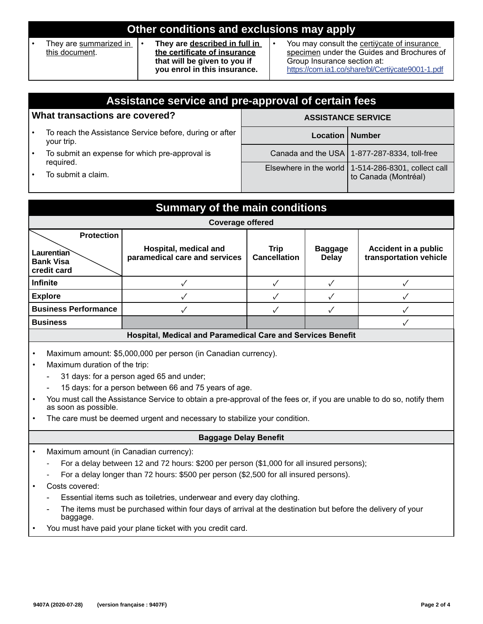| Other conditions and exclusions may apply                                                                                                                                 |                                                                                                                                                                               |  |  |  |
|---------------------------------------------------------------------------------------------------------------------------------------------------------------------------|-------------------------------------------------------------------------------------------------------------------------------------------------------------------------------|--|--|--|
| They are summarized in<br>They are described in full in<br>the certificate of insurance<br>this document.<br>that will be given to you if<br>you enrol in this insurance. | You may consult the certificate of insurance<br>specimen under the Guides and Brochures of<br>Group Insurance section at:<br>https://com.ia1.co/share/bl/Certifcate9001-1.pdf |  |  |  |

|                                | Assistance service and pre-approval of certain fees                               |                           |                                                                               |  |  |
|--------------------------------|-----------------------------------------------------------------------------------|---------------------------|-------------------------------------------------------------------------------|--|--|
| What transactions are covered? |                                                                                   | <b>ASSISTANCE SERVICE</b> |                                                                               |  |  |
|                                | To reach the Assistance Service before, during or after<br>your trip.             | Location   Number         |                                                                               |  |  |
|                                | To submit an expense for which pre-approval is<br>required.<br>To submit a claim. |                           | Canada and the USA   1-877-287-8334, toll-free                                |  |  |
|                                |                                                                                   |                           | Elsewhere in the world   1-514-286-8301, collect call<br>to Canada (Montréal) |  |  |

| <b>Summary of the main conditions</b>                       |                                                        |                                    |                                |                                                       |  |
|-------------------------------------------------------------|--------------------------------------------------------|------------------------------------|--------------------------------|-------------------------------------------------------|--|
| <b>Coverage offered</b>                                     |                                                        |                                    |                                |                                                       |  |
| <b>Protection</b>                                           |                                                        |                                    |                                |                                                       |  |
| Laurentian<br><b>Bank Visa</b><br>credit card               | Hospital, medical and<br>paramedical care and services | <b>Trip</b><br><b>Cancellation</b> | <b>Baggage</b><br><b>Delay</b> | <b>Accident in a public</b><br>transportation vehicle |  |
| <b>Infinite</b>                                             |                                                        |                                    |                                |                                                       |  |
| <b>Explore</b>                                              |                                                        |                                    |                                |                                                       |  |
| <b>Business Performance</b>                                 |                                                        |                                    |                                |                                                       |  |
| <b>Business</b>                                             |                                                        |                                    |                                |                                                       |  |
| Hospital, Medical and Paramedical Care and Services Benefit |                                                        |                                    |                                |                                                       |  |

- Maximum amount: \$5,000,000 per person (in Canadian currency).
- Maximum duration of the trip:
	- 31 days: for a person aged 65 and under;
	- 15 days: for a person between 66 and 75 years of age.
- You must call the Assistance Service to obtain a pre-approval of the fees or, if you are unable to do so, notify them as soon as possible.
- The care must be deemed urgent and necessary to stabilize your condition.

#### **Baggage Delay Benefit**

- Maximum amount (in Canadian currency):
	- For a delay between 12 and 72 hours: \$200 per person (\$1,000 for all insured persons);
	- For a delay longer than 72 hours: \$500 per person (\$2,500 for all insured persons).
- Costs covered:
	- Essential items such as toiletries, underwear and every day clothing.
	- The items must be purchased within four days of arrival at the destination but before the delivery of your baggage.
- You must have paid your plane ticket with you credit card.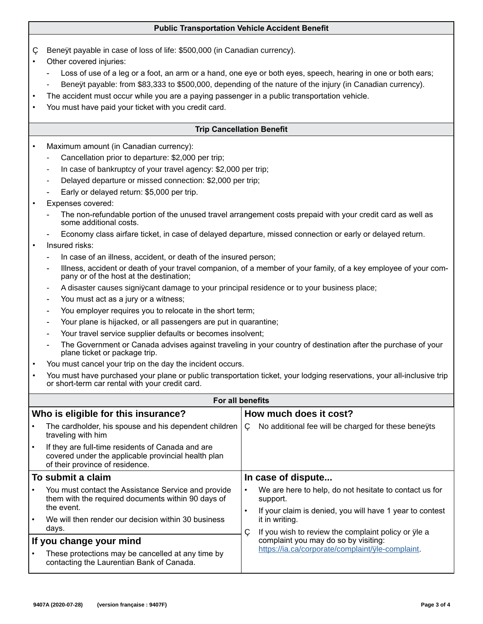#### **Public Transportation Vehicle Accident Benefit**

- Beneft payable in case of loss of life: \$500,000 (in Canadian currency).
- Other covered injuries:
	- Loss of use of a leg or a foot, an arm or a hand, one eye or both eyes, speech, hearing in one or both ears;
	- Beneft payable: from \$83,333 to \$500,000, depending of the nature of the injury (in Canadian currency).
	- The accident must occur while you are a paying passenger in a public transportation vehicle.
- You must have paid your ticket with you credit card.

#### **Trip Cancellation Benefit**

- Maximum amount (in Canadian currency):
	- Cancellation prior to departure: \$2,000 per trip;
	- In case of bankruptcy of your travel agency: \$2,000 per trip;
	- Delayed departure or missed connection: \$2,000 per trip;
	- Early or delayed return: \$5,000 per trip.
- Expenses covered:
	- The non-refundable portion of the unused travel arrangement costs prepaid with your credit card as well as some additional costs.
	- Economy class airfare ticket, in case of delayed departure, missed connection or early or delayed return.

#### Insured risks:

- In case of an illness, accident, or death of the insured person;
- Illness, accident or death of your travel companion, of a member of your family, of a key employee of your company or of the host at the destination;
- A disaster causes significant damage to your principal residence or to your business place;
- You must act as a jury or a witness;
- You employer requires you to relocate in the short term;
- Your plane is hijacked, or all passengers are put in quarantine;
- Your travel service supplier defaults or becomes insolvent;
- The Government or Canada advises against traveling in your country of destination after the purchase of your plane ticket or package trip.
- You must cancel your trip on the day the incident occurs.
- You must have purchased your plane or public transportation ticket, your lodging reservations, your all-inclusive trip or short-term car rental with your credit card.

|                                     | <b>For all benefits</b>                                                                                                                     |                                                          |                                                                                             |  |  |
|-------------------------------------|---------------------------------------------------------------------------------------------------------------------------------------------|----------------------------------------------------------|---------------------------------------------------------------------------------------------|--|--|
| Who is eligible for this insurance? |                                                                                                                                             | How much does it cost?                                   |                                                                                             |  |  |
|                                     | The cardholder, his spouse and his dependent children<br>traveling with him                                                                 | ٠                                                        | No additional fee will be charged for these benefts                                         |  |  |
|                                     | If they are full-time residents of Canada and are<br>covered under the applicable provincial health plan<br>of their province of residence. |                                                          |                                                                                             |  |  |
|                                     | To submit a claim                                                                                                                           |                                                          | In case of dispute                                                                          |  |  |
|                                     | You must contact the Assistance Service and provide<br>them with the required documents within 90 days of                                   | $\bullet$                                                | We are here to help, do not hesitate to contact us for<br>support.                          |  |  |
|                                     | the event.<br>$\bullet$                                                                                                                     | If your claim is denied, you will have 1 year to contest |                                                                                             |  |  |
|                                     | We will then render our decision within 30 business<br>days.                                                                                |                                                          | it in writing.                                                                              |  |  |
|                                     | If you change your mind                                                                                                                     | ٠                                                        | If you wish to review the complaint policy or fle a<br>complaint you may do so by visiting: |  |  |
|                                     | These protections may be cancelled at any time by<br>contacting the Laurentian Bank of Canada.                                              |                                                          | https://ia.ca/corporate/complaint/fle-complaint.                                            |  |  |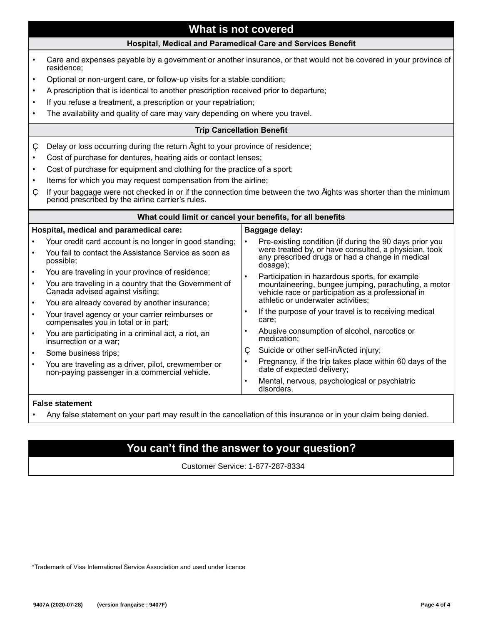### **What is not covered**

#### **Hospital, Medical and Paramedical Care and Services Benefit**

• Care and expenses payable by a government or another insurance, or that would not be covered in your province of residence; • Optional or non-urgent care, or follow-up visits for a stable condition; • A prescription that is identical to another prescription received prior to departure; If you refuse a treatment, a prescription or your repatriation; The availability and quality of care may vary depending on where you travel. **Trip Cancellation Benefit** Delay or loss occurring during the return fight to your province of residence; Cost of purchase for dentures, hearing aids or contact lenses; Cost of purchase for equipment and clothing for the practice of a sport; Items for which you may request compensation from the airline; If your baggage were not checked in or if the connection time between the two fights was shorter than the minimum period prescribed by the airline carrier's rules. **What could limit or cancel your benefits, for all benefits Hospital, medical and paramedical care:** • Your credit card account is no longer in good standing; • You fail to contact the Assistance Service as soon as possible; • You are traveling in your province of residence; • You are traveling in a country that the Government of Canada advised against visiting; You are already covered by another insurance; • Your travel agency or your carrier reimburses or compensates you in total or in part; • You are participating in a criminal act, a riot, an insurrection or a war; Some business trips: • You are traveling as a driver, pilot, crewmember or non-paying passenger in a commercial vehicle. **Baggage delay:** • Pre-existing condition (if during the 90 days prior you were treated by, or have consulted, a physician, took any prescribed drugs or had a change in medical dosage); Participation in hazardous sports, for example mountaineering, bungee jumping, parachuting, a motor vehicle race or participation as a professional in athletic or underwater activities; • If the purpose of your travel is to receiving medical care; • Abusive consumption of alcohol, narcotics or medication; Suicide or other self-inficted injury; • Pregnancy, if the trip takes place within 60 days of the date of expected delivery; Mental, nervous, psychological or psychiatric disorders.

#### **False statement**

• Any false statement on your part may result in the cancellation of this insurance or in your claim being denied.

### **You can't find the answer to your question?**

Customer Service: 1-877-287-8334

\*Trademark of Visa International Service Association and used under licence